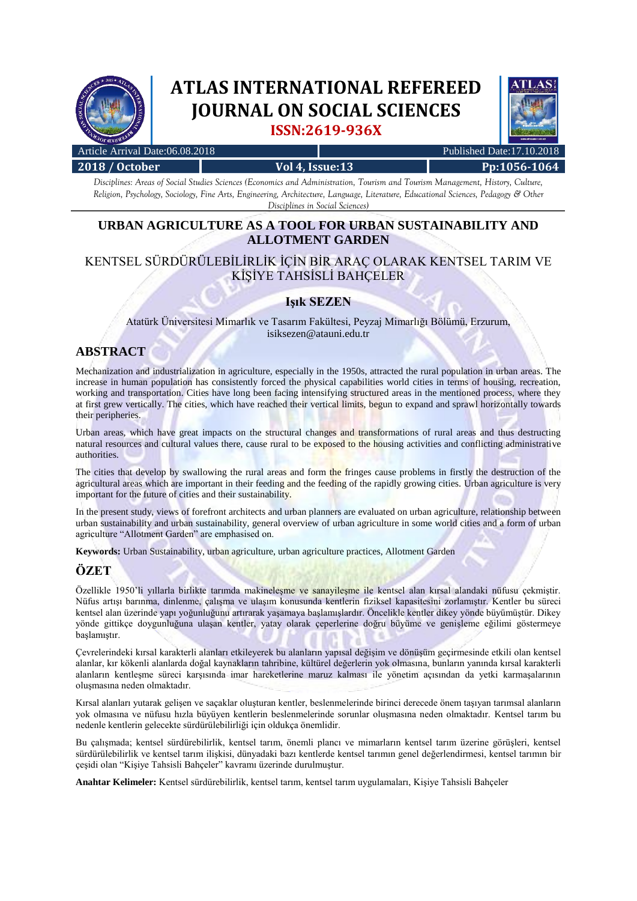

# **ATLAS INTERNATIONAL REFEREED JOURNAL ON SOCIAL SCIENCES ISSN:2619-936X**



| Article Arrival Date:06.08.2018 |                 | Published Date:17.10.2018 |              |  |
|---------------------------------|-----------------|---------------------------|--------------|--|
| 2018 / October                  | Vol 4, Issue:13 |                           | Pp:1056-1064 |  |
|                                 |                 |                           |              |  |

*Disciplines: Areas of Social Studies Sciences (Economics and Administration, Tourism and Tourism Management, History, Culture, Religion, Psychology, Sociology, Fine Arts, Engineering, Architecture, Language, Literature, Educational Sciences, Pedagogy & Other Disciplines in Social Sciences)*

# **URBAN AGRICULTURE AS A TOOL FOR URBAN SUSTAINABILITY AND ALLOTMENT GARDEN**

## KENTSEL SÜRDÜRÜLEBİLİRLİK İÇİN BİR ARAÇ OLARAK KENTSEL TARIM VE KİŞİYE TAHSİSLİ BAHÇELER

## **Işık SEZEN**

Atatürk Üniversitesi Mimarlık ve Tasarım Fakültesi, Peyzaj Mimarlığı Bölümü, Erzurum, isiksezen@atauni.edu.tr

## **ABSTRACT**

Mechanization and industrialization in agriculture, especially in the 1950s, attracted the rural population in urban areas. The increase in human population has consistently forced the physical capabilities world cities in terms of housing, recreation, working and transportation. Cities have long been facing intensifying structured areas in the mentioned process, where they at first grew vertically. The cities, which have reached their vertical limits, begun to expand and sprawl horizontally towards their peripheries.

Urban areas, which have great impacts on the structural changes and transformations of rural areas and thus destructing natural resources and cultural values there, cause rural to be exposed to the housing activities and conflicting administrative authorities.

The cities that develop by swallowing the rural areas and form the fringes cause problems in firstly the destruction of the agricultural areas which are important in their feeding and the feeding of the rapidly growing cities. Urban agriculture is very important for the future of cities and their sustainability.

In the present study, views of forefront architects and urban planners are evaluated on urban agriculture, relationship between urban sustainability and urban sustainability, general overview of urban agriculture in some world cities and a form of urban agriculture "Allotment Garden" are emphasised on.

**Keywords:** Urban Sustainability, urban agriculture, urban agriculture practices, Allotment Garden

## **ÖZET**

Özellikle 1950'li yıllarla birlikte tarımda makineleşme ve sanayileşme ile kentsel alan kırsal alandaki nüfusu çekmiştir. Nüfus artışı barınma, dinlenme, çalışma ve ulaşım konusunda kentlerin fiziksel kapasitesini zorlamıştır. Kentler bu süreci kentsel alan üzerinde yapı yoğunluğunu artırarak yaşamaya başlamışlardır. Öncelikle kentler dikey yönde büyümüştür. Dikey yönde gittikçe doygunluğuna ulaşan kentler, yatay olarak çeperlerine doğru büyüme ve genişleme eğilimi göstermeye başlamıştır.

Çevrelerindeki kırsal karakterli alanları etkileyerek bu alanların yapısal değişim ve dönüşüm geçirmesinde etkili olan kentsel alanlar, kır kökenli alanlarda doğal kaynakların tahribine, kültürel değerlerin yok olmasına, bunların yanında kırsal karakterli alanların kentleşme süreci karşısında imar hareketlerine maruz kalması ile yönetim açısından da yetki karmaşalarının oluşmasına neden olmaktadır.

Kırsal alanları yutarak gelişen ve saçaklar oluşturan kentler, beslenmelerinde birinci derecede önem taşıyan tarımsal alanların yok olmasına ve nüfusu hızla büyüyen kentlerin beslenmelerinde sorunlar oluşmasına neden olmaktadır. Kentsel tarım bu nedenle kentlerin gelecekte sürdürülebilirliği için oldukça önemlidir.

Bu çalışmada; kentsel sürdürebilirlik, kentsel tarım, önemli plancı ve mimarların kentsel tarım üzerine görüşleri, kentsel sürdürülebilirlik ve kentsel tarım ilişkisi, dünyadaki bazı kentlerde kentsel tarımın genel değerlendirmesi, kentsel tarımın bir çeşidi olan "Kişiye Tahsisli Bahçeler" kavramı üzerinde durulmuştur.

**Anahtar Kelimeler:** Kentsel sürdürebilirlik, kentsel tarım, kentsel tarım uygulamaları, Kişiye Tahsisli Bahçeler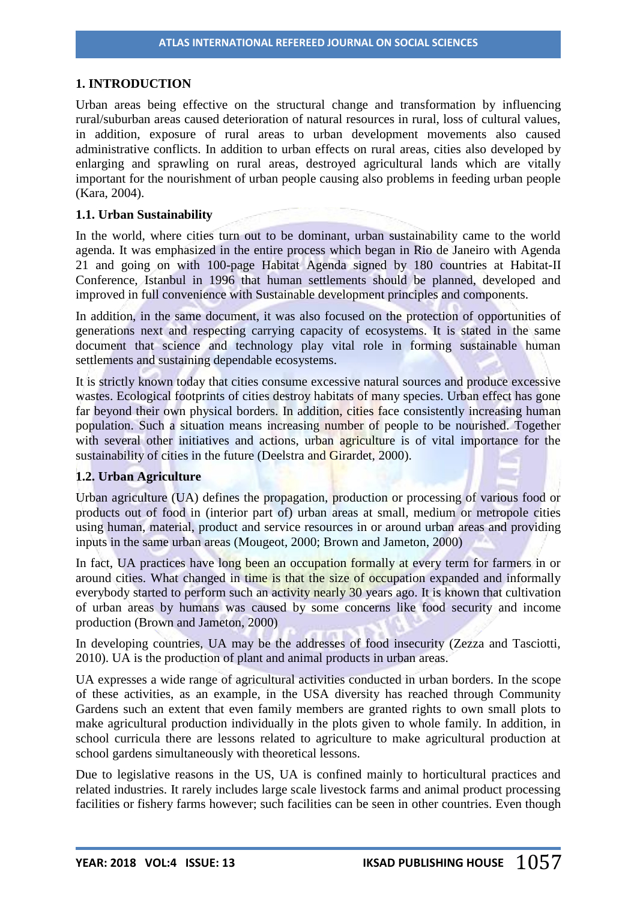## **1. INTRODUCTION**

Urban areas being effective on the structural change and transformation by influencing rural/suburban areas caused deterioration of natural resources in rural, loss of cultural values, in addition, exposure of rural areas to urban development movements also caused administrative conflicts. In addition to urban effects on rural areas, cities also developed by enlarging and sprawling on rural areas, destroyed agricultural lands which are vitally important for the nourishment of urban people causing also problems in feeding urban people (Kara, 2004).

## **1.1. Urban Sustainability**

In the world, where cities turn out to be dominant, urban sustainability came to the world agenda. It was emphasized in the entire process which began in Rio de Janeiro with Agenda 21 and going on with 100-page Habitat Agenda signed by 180 countries at Habitat-II Conference, Istanbul in 1996 that human settlements should be planned, developed and improved in full convenience with Sustainable development principles and components.

In addition, in the same document, it was also focused on the protection of opportunities of generations next and respecting carrying capacity of ecosystems. It is stated in the same document that science and technology play vital role in forming sustainable human settlements and sustaining dependable ecosystems.

It is strictly known today that cities consume excessive natural sources and produce excessive wastes. Ecological footprints of cities destroy habitats of many species. Urban effect has gone far beyond their own physical borders. In addition, cities face consistently increasing human population. Such a situation means increasing number of people to be nourished. Together with several other initiatives and actions, urban agriculture is of vital importance for the sustainability of cities in the future (Deelstra and Girardet, 2000).

## **1.2. Urban Agriculture**

Urban agriculture (UA) defines the propagation, production or processing of various food or products out of food in (interior part of) urban areas at small, medium or metropole cities using human, material, product and service resources in or around urban areas and providing inputs in the same urban areas (Mougeot, 2000; Brown and Jameton, 2000)

In fact, UA practices have long been an occupation formally at every term for farmers in or around cities. What changed in time is that the size of occupation expanded and informally everybody started to perform such an activity nearly 30 years ago. It is known that cultivation of urban areas by humans was caused by some concerns like food security and income production (Brown and Jameton, 2000)

In developing countries, UA may be the addresses of food insecurity (Zezza and Tasciotti, 2010). UA is the production of plant and animal products in urban areas.

UA expresses a wide range of agricultural activities conducted in urban borders. In the scope of these activities, as an example, in the USA diversity has reached through Community Gardens such an extent that even family members are granted rights to own small plots to make agricultural production individually in the plots given to whole family. In addition, in school curricula there are lessons related to agriculture to make agricultural production at school gardens simultaneously with theoretical lessons.

Due to legislative reasons in the US, UA is confined mainly to horticultural practices and related industries. It rarely includes large scale livestock farms and animal product processing facilities or fishery farms however; such facilities can be seen in other countries. Even though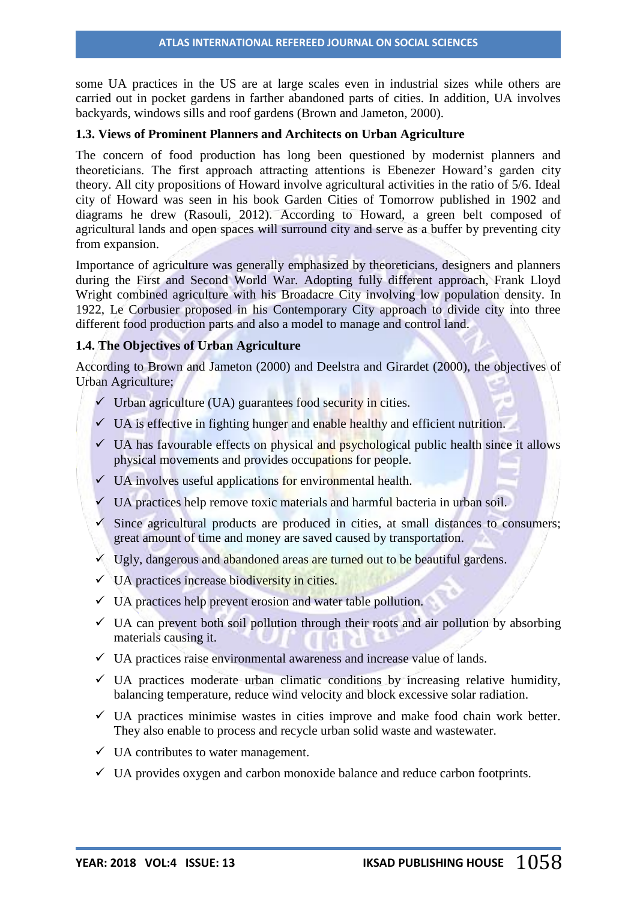some UA practices in the US are at large scales even in industrial sizes while others are carried out in pocket gardens in farther abandoned parts of cities. In addition, UA involves backyards, windows sills and roof gardens (Brown and Jameton, 2000).

#### **1.3. Views of Prominent Planners and Architects on Urban Agriculture**

The concern of food production has long been questioned by modernist planners and theoreticians. The first approach attracting attentions is Ebenezer Howard's garden city theory. All city propositions of Howard involve agricultural activities in the ratio of 5/6. Ideal city of Howard was seen in his book Garden Cities of Tomorrow published in 1902 and diagrams he drew (Rasouli, 2012). According to Howard, a green belt composed of agricultural lands and open spaces will surround city and serve as a buffer by preventing city from expansion.

Importance of agriculture was generally emphasized by theoreticians, designers and planners during the First and Second World War. Adopting fully different approach, Frank Lloyd Wright combined agriculture with his Broadacre City involving low population density. In 1922, Le Corbusier proposed in his Contemporary City approach to divide city into three different food production parts and also a model to manage and control land.

## **1.4. The Objectives of Urban Agriculture**

According to Brown and Jameton (2000) and Deelstra and Girardet (2000), the objectives of Urban Agriculture;

- $\checkmark$  Urban agriculture (UA) guarantees food security in cities.
- $\checkmark$  UA is effective in fighting hunger and enable healthy and efficient nutrition.
- $\checkmark$  UA has favourable effects on physical and psychological public health since it allows physical movements and provides occupations for people.
- $\checkmark$  UA involves useful applications for environmental health.
- $\checkmark$  UA practices help remove toxic materials and harmful bacteria in urban soil.
- $\checkmark$  Since agricultural products are produced in cities, at small distances to consumers; great amount of time and money are saved caused by transportation.
- $\checkmark$  Ugly, dangerous and abandoned areas are turned out to be beautiful gardens.
- $\checkmark$  UA practices increase biodiversity in cities.
- $\checkmark$  UA practices help prevent erosion and water table pollution.
- $\checkmark$  UA can prevent both soil pollution through their roots and air pollution by absorbing materials causing it.
- $\checkmark$  UA practices raise environmental awareness and increase value of lands.
- $\checkmark$  UA practices moderate urban climatic conditions by increasing relative humidity, balancing temperature, reduce wind velocity and block excessive solar radiation.
- $\checkmark$  UA practices minimise wastes in cities improve and make food chain work better. They also enable to process and recycle urban solid waste and wastewater.
- $\checkmark$  UA contributes to water management.
- $\checkmark$  UA provides oxygen and carbon monoxide balance and reduce carbon footprints.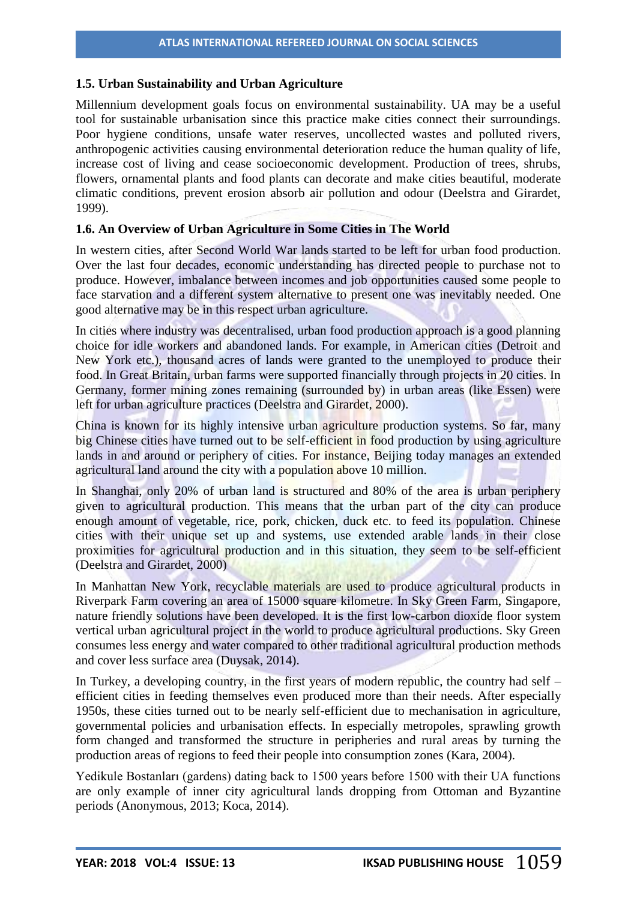### **1.5. Urban Sustainability and Urban Agriculture**

Millennium development goals focus on environmental sustainability. UA may be a useful tool for sustainable urbanisation since this practice make cities connect their surroundings. Poor hygiene conditions, unsafe water reserves, uncollected wastes and polluted rivers, anthropogenic activities causing environmental deterioration reduce the human quality of life, increase cost of living and cease socioeconomic development. Production of trees, shrubs, flowers, ornamental plants and food plants can decorate and make cities beautiful, moderate climatic conditions, prevent erosion absorb air pollution and odour (Deelstra and Girardet, 1999).

## **1.6. An Overview of Urban Agriculture in Some Cities in The World**

In western cities, after Second World War lands started to be left for urban food production. Over the last four decades, economic understanding has directed people to purchase not to produce. However, imbalance between incomes and job opportunities caused some people to face starvation and a different system alternative to present one was inevitably needed. One good alternative may be in this respect urban agriculture.

In cities where industry was decentralised, urban food production approach is a good planning choice for idle workers and abandoned lands. For example, in American cities (Detroit and New York etc.), thousand acres of lands were granted to the unemployed to produce their food. In Great Britain, urban farms were supported financially through projects in 20 cities. In Germany, former mining zones remaining (surrounded by) in urban areas (like Essen) were left for urban agriculture practices (Deelstra and Girardet, 2000).

China is known for its highly intensive urban agriculture production systems. So far, many big Chinese cities have turned out to be self-efficient in food production by using agriculture lands in and around or periphery of cities. For instance, Beijing today manages an extended agricultural land around the city with a population above 10 million.

In Shanghai, only 20% of urban land is structured and 80% of the area is urban periphery given to agricultural production. This means that the urban part of the city can produce enough amount of vegetable, rice, pork, chicken, duck etc. to feed its population. Chinese cities with their unique set up and systems, use extended arable lands in their close proximities for agricultural production and in this situation, they seem to be self-efficient (Deelstra and Girardet, 2000)

In Manhattan New York, recyclable materials are used to produce agricultural products in Riverpark Farm covering an area of 15000 square kilometre. In Sky Green Farm, Singapore, nature friendly solutions have been developed. It is the first low-carbon dioxide floor system vertical urban agricultural project in the world to produce agricultural productions. Sky Green consumes less energy and water compared to other traditional agricultural production methods and cover less surface area (Duysak, 2014).

In Turkey, a developing country, in the first years of modern republic, the country had self – efficient cities in feeding themselves even produced more than their needs. After especially 1950s, these cities turned out to be nearly self-efficient due to mechanisation in agriculture, governmental policies and urbanisation effects. In especially metropoles, sprawling growth form changed and transformed the structure in peripheries and rural areas by turning the production areas of regions to feed their people into consumption zones (Kara, 2004).

Yedikule Bostanları (gardens) dating back to 1500 years before 1500 with their UA functions are only example of inner city agricultural lands dropping from Ottoman and Byzantine periods (Anonymous, 2013; Koca, 2014).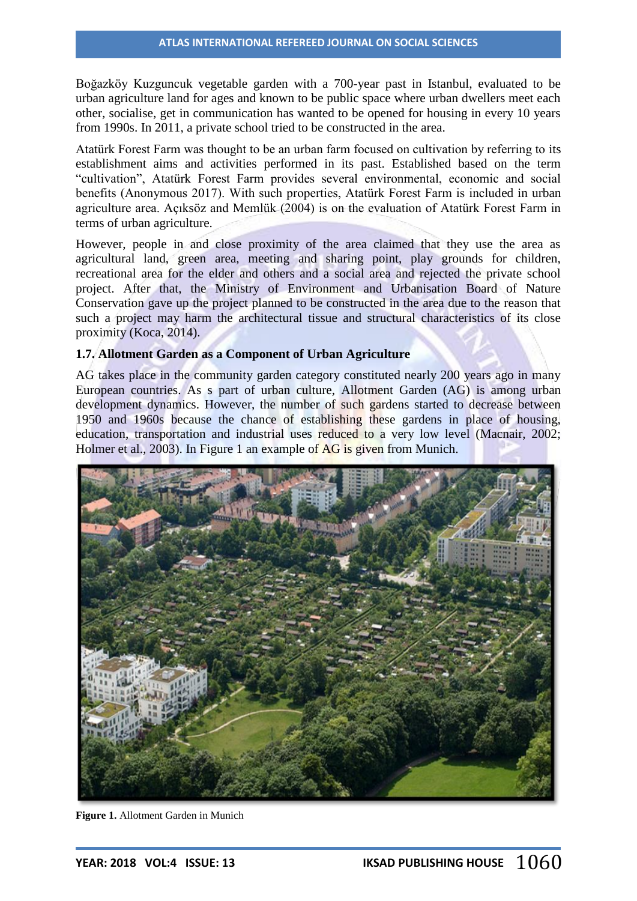Boğazköy Kuzguncuk vegetable garden with a 700-year past in Istanbul, evaluated to be urban agriculture land for ages and known to be public space where urban dwellers meet each other, socialise, get in communication has wanted to be opened for housing in every 10 years from 1990s. In 2011, a private school tried to be constructed in the area.

Atatürk Forest Farm was thought to be an urban farm focused on cultivation by referring to its establishment aims and activities performed in its past. Established based on the term "cultivation", Atatürk Forest Farm provides several environmental, economic and social benefits (Anonymous 2017). With such properties, Atatürk Forest Farm is included in urban agriculture area. Açıksöz and Memlük (2004) is on the evaluation of Atatürk Forest Farm in terms of urban agriculture.

However, people in and close proximity of the area claimed that they use the area as agricultural land, green area, meeting and sharing point, play grounds for children, recreational area for the elder and others and a social area and rejected the private school project. After that, the Ministry of Environment and Urbanisation Board of Nature Conservation gave up the project planned to be constructed in the area due to the reason that such a project may harm the architectural tissue and structural characteristics of its close proximity (Koca, 2014).

## **1.7. Allotment Garden as a Component of Urban Agriculture**

AG takes place in the community garden category constituted nearly 200 years ago in many European countries. As s part of urban culture, Allotment Garden (AG) is among urban development dynamics. However, the number of such gardens started to decrease between 1950 and 1960s because the chance of establishing these gardens in place of housing, education, transportation and industrial uses reduced to a very low level (Macnair, 2002; Holmer et al., 2003). In Figure 1 an example of **AG** is given from Munich.



**Figure 1.** Allotment Garden in Munich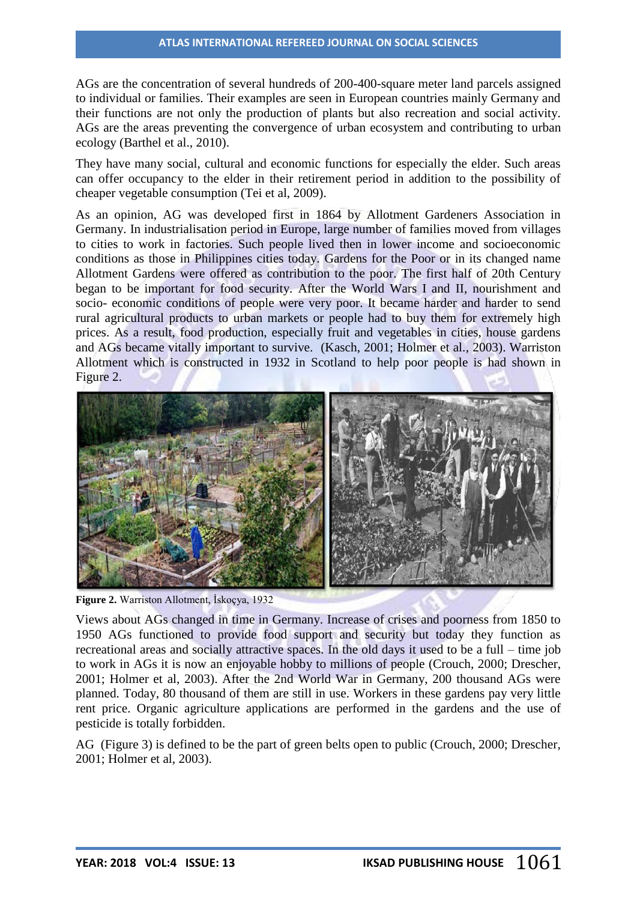AGs are the concentration of several hundreds of 200-400-square meter land parcels assigned to individual or families. Their examples are seen in European countries mainly Germany and their functions are not only the production of plants but also recreation and social activity. AGs are the areas preventing the convergence of urban ecosystem and contributing to urban ecology (Barthel et al., 2010).

They have many social, cultural and economic functions for especially the elder. Such areas can offer occupancy to the elder in their retirement period in addition to the possibility of cheaper vegetable consumption (Tei et al, 2009).

As an opinion, AG was developed first in 1864 by Allotment Gardeners Association in Germany. In industrialisation period in Europe, large number of families moved from villages to cities to work in factories. Such people lived then in lower income and socioeconomic conditions as those in Philippines cities today. Gardens for the Poor or in its changed name Allotment Gardens were offered as contribution to the poor. The first half of 20th Century began to be important for food security. After the World Wars I and II, nourishment and socio- economic conditions of people were very poor. It became harder and harder to send rural agricultural products to urban markets or people had to buy them for extremely high prices. As a result, food production, especially fruit and vegetables in cities, house gardens and AGs became vitally important to survive. (Kasch, 2001; Holmer et al., 2003). Warriston Allotment which is constructed in 1932 in Scotland to help poor people is had shown in Figure 2.



**Figure 2.** Warriston Allotment, İskoçya, 1932

Views about AGs changed in time in Germany. Increase of crises and poorness from 1850 to 1950 AGs functioned to provide food support and security but today they function as recreational areas and socially attractive spaces. In the old days it used to be a full – time job to work in AGs it is now an enjoyable hobby to millions of people (Crouch, 2000; Drescher, 2001; Holmer et al, 2003). After the 2nd World War in Germany, 200 thousand AGs were planned. Today, 80 thousand of them are still in use. Workers in these gardens pay very little rent price. Organic agriculture applications are performed in the gardens and the use of pesticide is totally forbidden.

AG (Figure 3) is defined to be the part of green belts open to public (Crouch, 2000; Drescher, 2001; Holmer et al, 2003).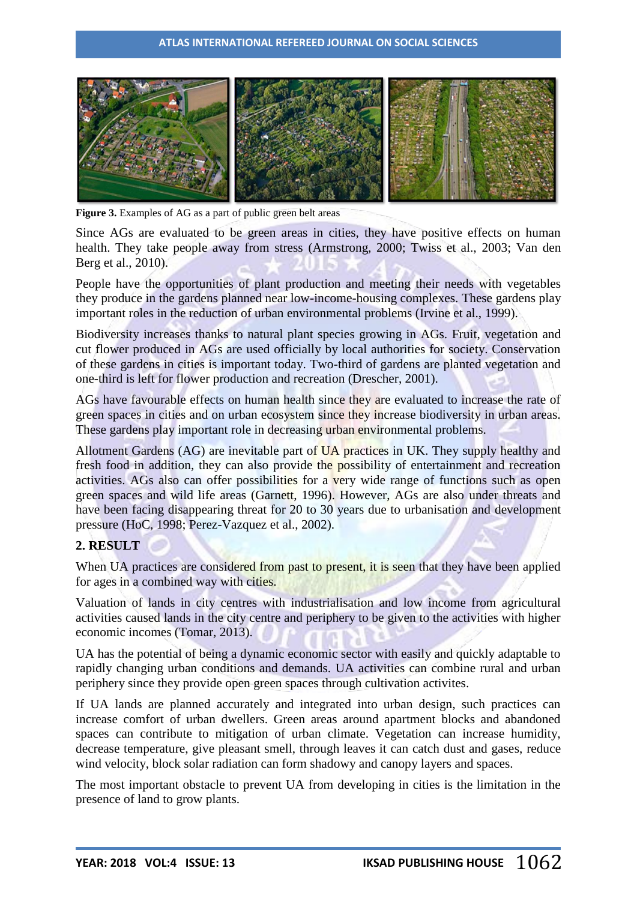

**Figure 3.** Examples of AG as a part of public green belt areas

Since AGs are evaluated to be green areas in cities, they have positive effects on human health. They take people away from stress (Armstrong, 2000; Twiss et al., 2003; Van den Berg et al., 2010).

People have the opportunities of plant production and meeting their needs with vegetables they produce in the gardens planned near low-income-housing complexes. These gardens play important roles in the reduction of urban environmental problems (Irvine et al., 1999).

Biodiversity increases thanks to natural plant species growing in AGs. Fruit, vegetation and cut flower produced in AGs are used officially by local authorities for society. Conservation of these gardens in cities is important today. Two-third of gardens are planted vegetation and one-third is left for flower production and recreation (Drescher, 2001).

AGs have favourable effects on human health since they are evaluated to increase the rate of green spaces in cities and on urban ecosystem since they increase biodiversity in urban areas. These gardens play important role in decreasing urban environmental problems.

Allotment Gardens (AG) are inevitable part of UA practices in UK. They supply healthy and fresh food in addition, they can also provide the possibility of entertainment and recreation activities. AGs also can offer possibilities for a very wide range of functions such as open green spaces and wild life areas (Garnett, 1996). However, AGs are also under threats and have been facing disappearing threat for 20 to 30 years due to urbanisation and development pressure (HoC, 1998; Perez-Vazquez et al., 2002).

## **2. RESULT**

When UA practices are considered from past to present, it is seen that they have been applied for ages in a combined way with cities.

Valuation of lands in city centres with industrialisation and low income from agricultural activities caused lands in the city centre and periphery to be given to the activities with higher economic incomes (Tomar, 2013).

UA has the potential of being a dynamic economic sector with easily and quickly adaptable to rapidly changing urban conditions and demands. UA activities can combine rural and urban periphery since they provide open green spaces through cultivation activites.

If UA lands are planned accurately and integrated into urban design, such practices can increase comfort of urban dwellers. Green areas around apartment blocks and abandoned spaces can contribute to mitigation of urban climate. Vegetation can increase humidity, decrease temperature, give pleasant smell, through leaves it can catch dust and gases, reduce wind velocity, block solar radiation can form shadowy and canopy layers and spaces.

The most important obstacle to prevent UA from developing in cities is the limitation in the presence of land to grow plants.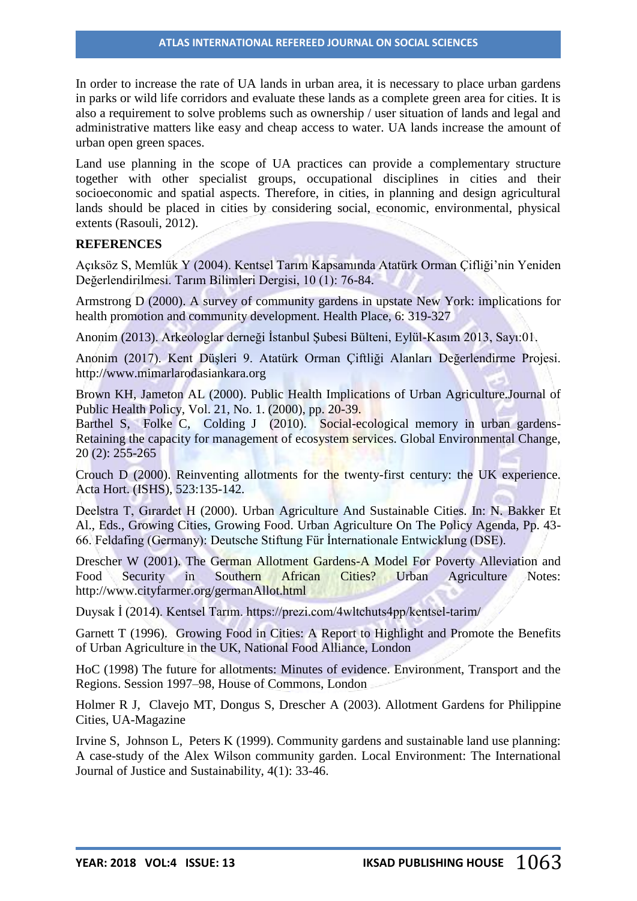In order to increase the rate of UA lands in urban area, it is necessary to place urban gardens in parks or wild life corridors and evaluate these lands as a complete green area for cities. It is also a requirement to solve problems such as ownership / user situation of lands and legal and administrative matters like easy and cheap access to water. UA lands increase the amount of urban open green spaces.

Land use planning in the scope of UA practices can provide a complementary structure together with other specialist groups, occupational disciplines in cities and their socioeconomic and spatial aspects. Therefore, in cities, in planning and design agricultural lands should be placed in cities by considering social, economic, environmental, physical extents (Rasouli, 2012).

#### **REFERENCES**

Açıksöz S, Memlük Y (2004). Kentsel Tarım Kapsamında Atatürk Orman Çifliği'nin Yeniden Değerlendirilmesi. Tarım Bilimleri Dergisi, 10 (1): 76-84.

Armstrong D (2000). A survey of community gardens in upstate New York: implications for health promotion and community development. Health Place, 6: 319-327

Anonim (2013). Arkeologlar derneği İstanbul Şubesi Bülteni, Eylül-Kasım 2013, Sayı:01.

Anonim (2017). Kent Düşleri 9. Atatürk Orman Çiftliği Alanları Değerlendirme Projesi. [http://www.mimarlarodasiankara.org](http://www.mimarlarodasiankara.org/)

Brown KH, Jameton AL (2000). Public Health Implications of Urban Agriculture.Journal of Public Health Policy, Vol. 21, No. 1. (2000), pp. 20-39.

Barthel S, Folke C, Colding J (2010). Social-ecological memory in urban gardens-Retaining the capacity for management of ecosystem services. Global Environmental Change, 20 (2): 255-265

Crouch D (2000). Reinventing allotments for the twenty-first century: the UK experience. Acta Hort. (ISHS), 523:135-142.

Deelstra T, Gırardet H (2000). Urban Agriculture And Sustainable Cities. In: N. Bakker Et Al., Eds., Growing Cities, Growing Food. Urban Agriculture On The Policy Agenda, Pp. 43- 66. Feldafing (Germany): Deutsche Stiftung Für İnternationale Entwicklung (DSE).

Drescher W (2001). The German Allotment Gardens-A Model For Poverty Alleviation and Food Security in Southern African Cities? Urban Agriculture Notes: <http://www.cityfarmer.org/germanAllot.html>

Duysak İ (2014). Kentsel Tarım. https://prezi.com/4wltchuts4pp/kentsel-tarim/

Garnett T (1996). Growing Food in Cities: A Report to Highlight and Promote the Benefits of Urban Agriculture in the UK, National Food Alliance, London

HoC (1998) The future for allotments: Minutes of evidence. Environment, Transport and the Regions. Session 1997–98, House of Commons, London

Holmer R J, Clavejo MT, Dongus S, Drescher A (2003). Allotment Gardens for Philippine Cities, UA-Magazine

Irvine S, Johnson L, Peters K (1999). Community gardens and sustainable land use planning: A case‐study of the Alex Wilson community garden. Local Environment: The International Journal of Justice and Sustainability, 4(1): 33-46.